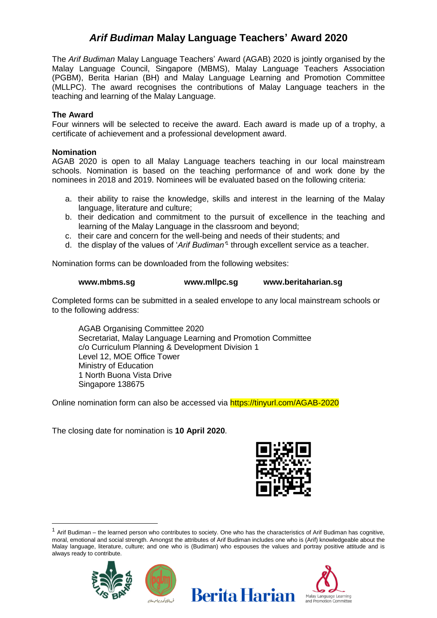## *Arif Budiman* **Malay Language Teachers' Award 2020**

The *Arif Budiman* Malay Language Teachers' Award (AGAB) 2020 is jointly organised by the Malay Language Council, Singapore (MBMS), Malay Language Teachers Association (PGBM), Berita Harian (BH) and Malay Language Learning and Promotion Committee (MLLPC). The award recognises the contributions of Malay Language teachers in the teaching and learning of the Malay Language.

#### **The Award**

Four winners will be selected to receive the award. Each award is made up of a trophy, a certificate of achievement and a professional development award.

#### **Nomination**

AGAB 2020 is open to all Malay Language teachers teaching in our local mainstream schools. Nomination is based on the teaching performance of and work done by the nominees in 2018 and 2019. Nominees will be evaluated based on the following criteria:

- a. their ability to raise the knowledge, skills and interest in the learning of the Malay language, literature and culture;
- b. their dedication and commitment to the pursuit of excellence in the teaching and learning of the Malay Language in the classroom and beyond;
- c. their care and concern for the well-being and needs of their students; and
- d. the display of the values of '*Arif Budiman'*<sup>1</sup> through excellent service as a teacher.

Nomination forms can be downloaded from the following websites:

#### **www.mbms.sg www.mllpc.sg www.beritaharian.sg**

Completed forms can be submitted in a sealed envelope to any local mainstream schools or to the following address:

AGAB Organising Committee 2020 Secretariat, Malay Language Learning and Promotion Committee c/o Curriculum Planning & Development Division 1 Level 12, MOE Office Tower Ministry of Education 1 North Buona Vista Drive Singapore 138675

Online nomination form can also be accessed via https://tinyurl.com/AGAB-2020

The closing date for nomination is **10 April 2020**.



 $1$  Arif Budiman – the learned person who contributes to society. One who has the characteristics of Arif Budiman has cognitive, moral, emotional and social strength. Amongst the attributes of Arif Budiman includes one who is (Arif) knowledgeable about the Malay language, literature, culture; and one who is (Budiman) who espouses the values and portray positive attitude and is always ready to contribute.

**Berita Harian** 



 $\overline{a}$